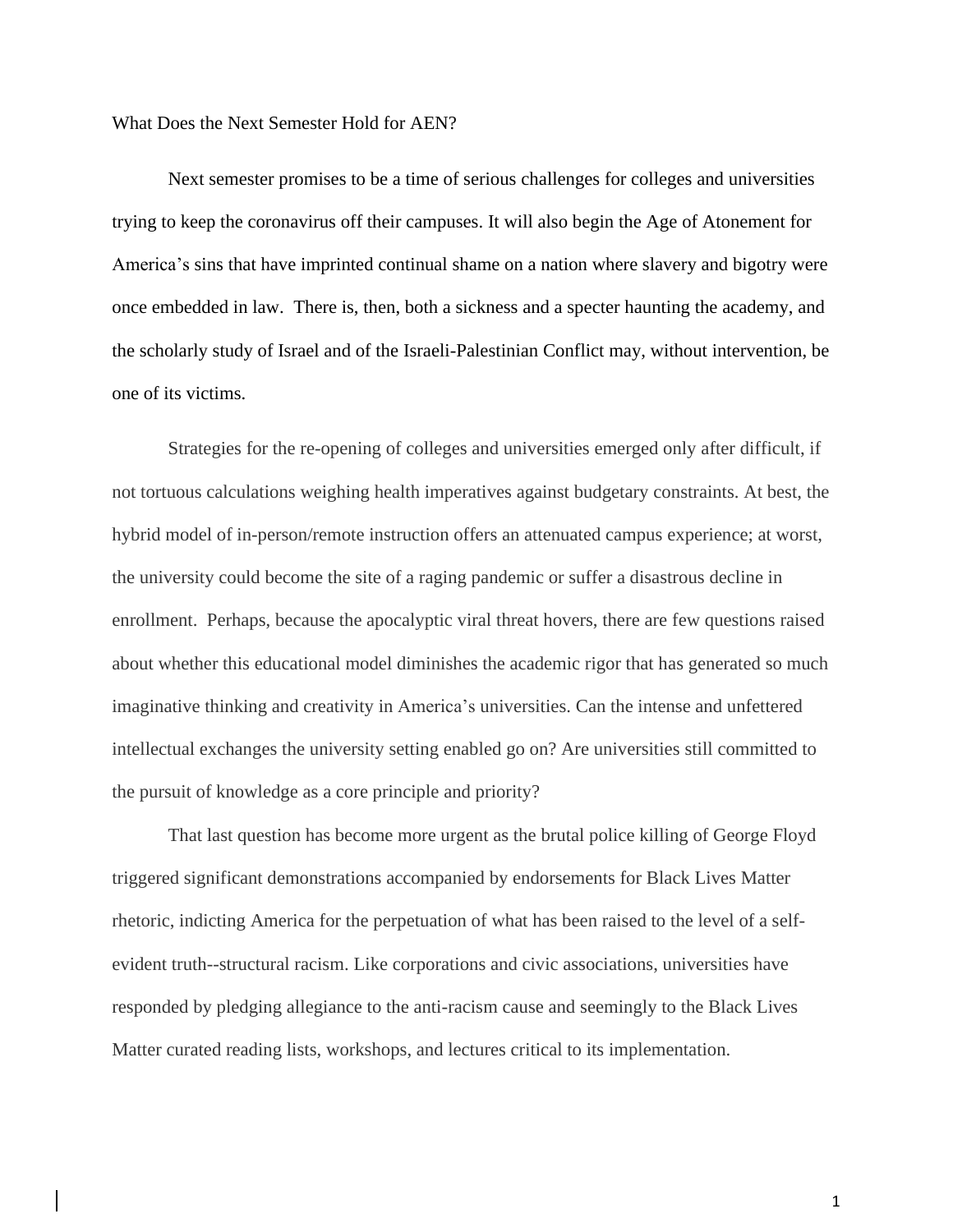What Does the Next Semester Hold for AEN?

Next semester promises to be a time of serious challenges for colleges and universities trying to keep the coronavirus off their campuses. It will also begin the Age of Atonement for America's sins that have imprinted continual shame on a nation where slavery and bigotry were once embedded in law. There is, then, both a sickness and a specter haunting the academy, and the scholarly study of Israel and of the Israeli-Palestinian Conflict may, without intervention, be one of its victims.

Strategies for the re-opening of colleges and universities emerged only after difficult, if not tortuous calculations weighing health imperatives against budgetary constraints. At best, the hybrid model of in-person/remote instruction offers an attenuated campus experience; at worst, the university could become the site of a raging pandemic or suffer a disastrous decline in enrollment. Perhaps, because the apocalyptic viral threat hovers, there are few questions raised about whether this educational model diminishes the academic rigor that has generated so much imaginative thinking and creativity in America's universities. Can the intense and unfettered intellectual exchanges the university setting enabled go on? Are universities still committed to the pursuit of knowledge as a core principle and priority?

That last question has become more urgent as the brutal police killing of George Floyd triggered significant demonstrations accompanied by endorsements for Black Lives Matter rhetoric, indicting America for the perpetuation of what has been raised to the level of a selfevident truth--structural racism. Like corporations and civic associations, universities have responded by pledging allegiance to the anti-racism cause and seemingly to the Black Lives Matter curated reading lists, workshops, and lectures critical to its implementation.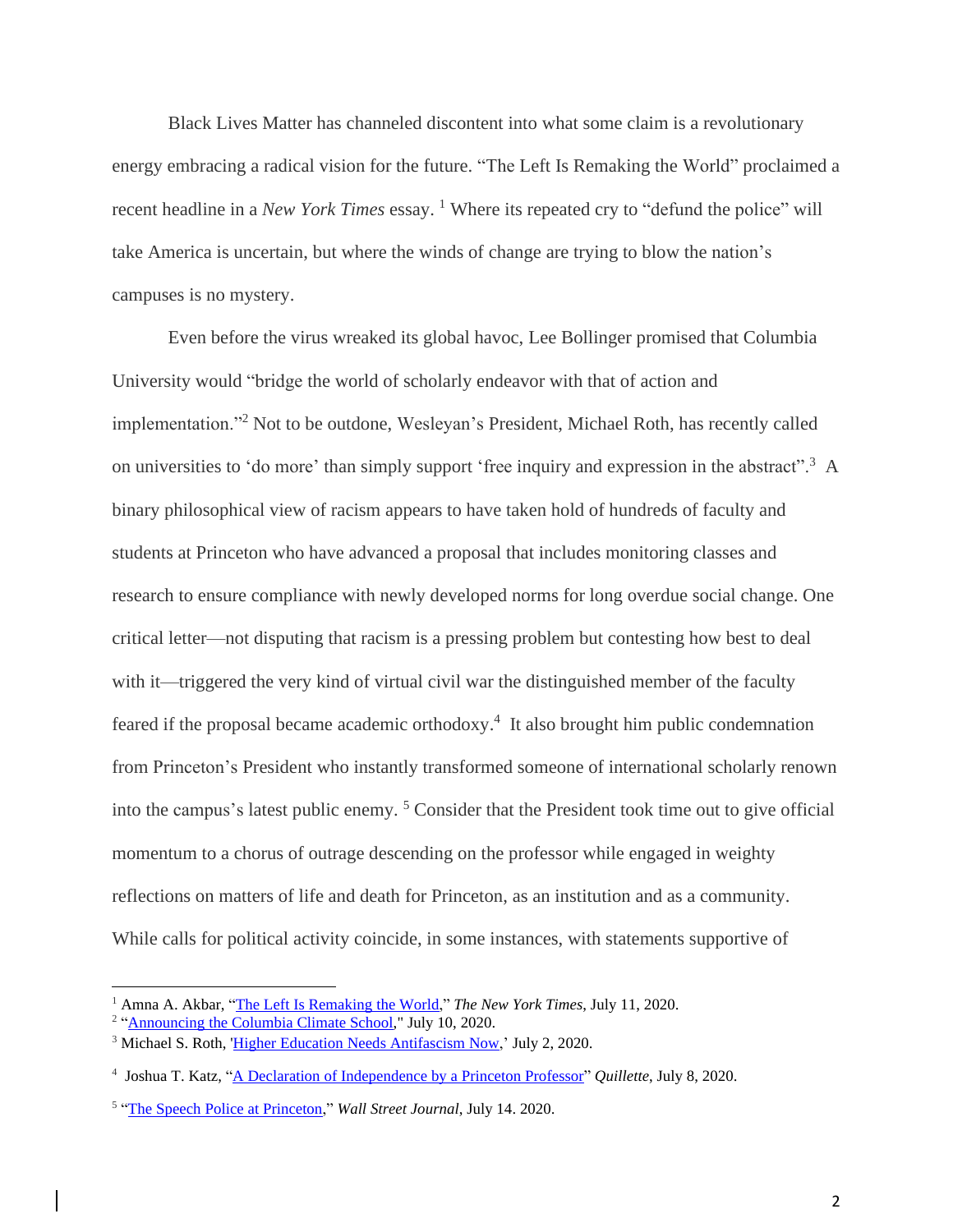Black Lives Matter has channeled discontent into what some claim is a revolutionary energy embracing a radical vision for the future. "The Left Is Remaking the World" proclaimed a recent headline in a *New York Times* essay.<sup>1</sup> Where its repeated cry to "defund the police" will take America is uncertain, but where the winds of change are trying to blow the nation's campuses is no mystery.

Even before the virus wreaked its global havoc, Lee Bollinger promised that Columbia University would "bridge the world of scholarly endeavor with that of action and implementation."<sup>2</sup> Not to be outdone, Wesleyan's President, Michael Roth, has recently called on universities to 'do more' than simply support 'free inquiry and expression in the abstract".<sup>3</sup> A binary philosophical view of racism appears to have taken hold of hundreds of faculty and students at Princeton who have advanced a proposal that includes monitoring classes and research to ensure compliance with newly developed norms for long overdue social change. One critical letter—not disputing that racism is a pressing problem but contesting how best to deal with it—triggered the very kind of virtual civil war the distinguished member of the faculty feared if the proposal became academic orthodoxy.<sup>4</sup> It also brought him public condemnation from Princeton's President who instantly transformed someone of international scholarly renown into the campus's latest public enemy.<sup>5</sup> Consider that the President took time out to give official momentum to a chorus of outrage descending on the professor while engaged in weighty reflections on matters of life and death for Princeton, as an institution and as a community. While calls for political activity coincide, in some instances, with statements supportive of

<sup>1</sup> Amna A. Akbar, "The Left Is [Remaking](about:blank) the World," *The New York Times*, July 11, 2020.

<sup>&</sup>lt;sup>2</sup> ["Announcing](about:blank) the Columbia Climate School," July 10, 2020.

<sup>&</sup>lt;sup>3</sup> Michael S. Roth, 'Higher Education Needs [Antifascism](about:blank) Now,' July 2, 2020.

<sup>4</sup> Joshua T. Katz, "A Declaration of [Independence](about:blank) by a Princeton Professor" *Quillette*, July 8, 2020.

<sup>5</sup> "The Speech Police at [Princeton,](about:blank)" *Wall Street Journal*, July 14. 2020.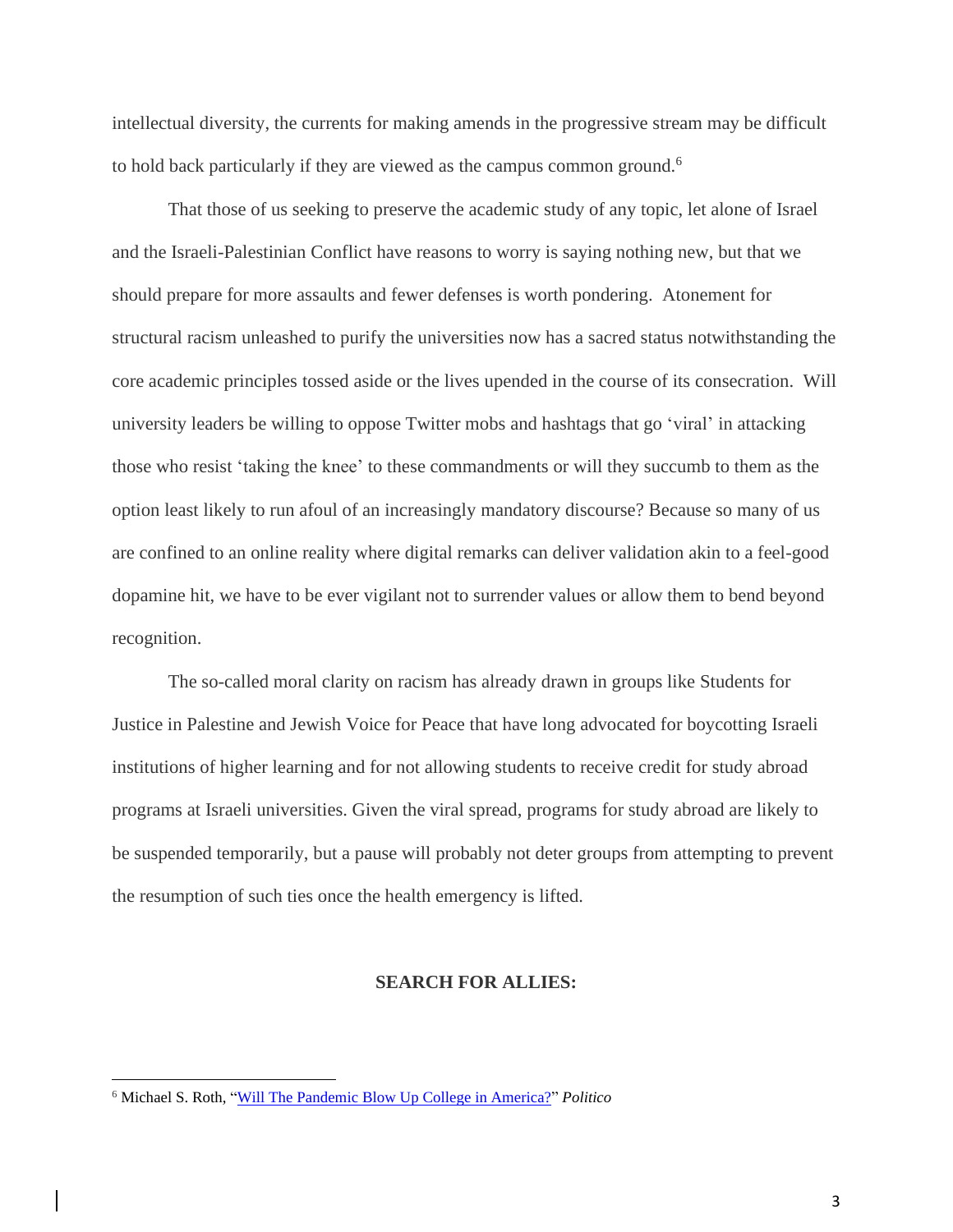intellectual diversity, the currents for making amends in the progressive stream may be difficult to hold back particularly if they are viewed as the campus common ground.<sup>6</sup>

That those of us seeking to preserve the academic study of any topic, let alone of Israel and the Israeli-Palestinian Conflict have reasons to worry is saying nothing new, but that we should prepare for more assaults and fewer defenses is worth pondering. Atonement for structural racism unleashed to purify the universities now has a sacred status notwithstanding the core academic principles tossed aside or the lives upended in the course of its consecration. Will university leaders be willing to oppose Twitter mobs and hashtags that go 'viral' in attacking those who resist 'taking the knee' to these commandments or will they succumb to them as the option least likely to run afoul of an increasingly mandatory discourse? Because so many of us are confined to an online reality where digital remarks can deliver validation akin to a feel-good dopamine hit, we have to be ever vigilant not to surrender values or allow them to bend beyond recognition.

The so-called moral clarity on racism has already drawn in groups like Students for Justice in Palestine and Jewish Voice for Peace that have long advocated for boycotting Israeli institutions of higher learning and for not allowing students to receive credit for study abroad programs at Israeli universities. Given the viral spread, programs for study abroad are likely to be suspended temporarily, but a pause will probably not deter groups from attempting to prevent the resumption of such ties once the health emergency is lifted.

## **SEARCH FOR ALLIES:**

<sup>6</sup> Michael S. Roth, "Will The Pandemic Blow Up College in [America?"](about:blank) *Politico*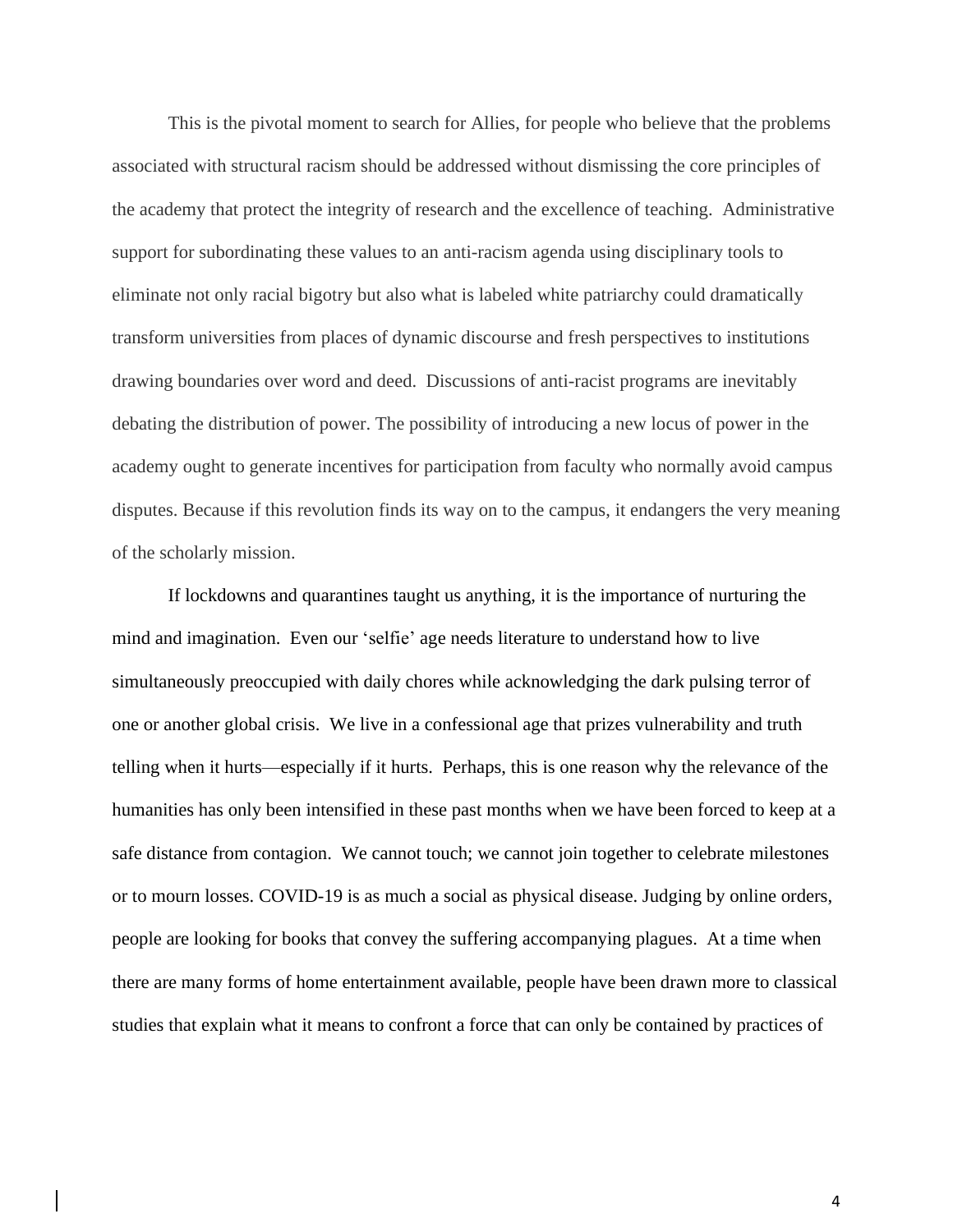This is the pivotal moment to search for Allies, for people who believe that the problems associated with structural racism should be addressed without dismissing the core principles of the academy that protect the integrity of research and the excellence of teaching. Administrative support for subordinating these values to an anti-racism agenda using disciplinary tools to eliminate not only racial bigotry but also what is labeled white patriarchy could dramatically transform universities from places of dynamic discourse and fresh perspectives to institutions drawing boundaries over word and deed. Discussions of anti-racist programs are inevitably debating the distribution of power. The possibility of introducing a new locus of power in the academy ought to generate incentives for participation from faculty who normally avoid campus disputes. Because if this revolution finds its way on to the campus, it endangers the very meaning of the scholarly mission.

If lockdowns and quarantines taught us anything, it is the importance of nurturing the mind and imagination. Even our 'selfie' age needs literature to understand how to live simultaneously preoccupied with daily chores while acknowledging the dark pulsing terror of one or another global crisis. We live in a confessional age that prizes vulnerability and truth telling when it hurts—especially if it hurts. Perhaps, this is one reason why the relevance of the humanities has only been intensified in these past months when we have been forced to keep at a safe distance from contagion. We cannot touch; we cannot join together to celebrate milestones or to mourn losses. COVID-19 is as much a social as physical disease. Judging by online orders, people are looking for books that convey the suffering accompanying plagues. At a time when there are many forms of home entertainment available, people have been drawn more to classical studies that explain what it means to confront a force that can only be contained by practices of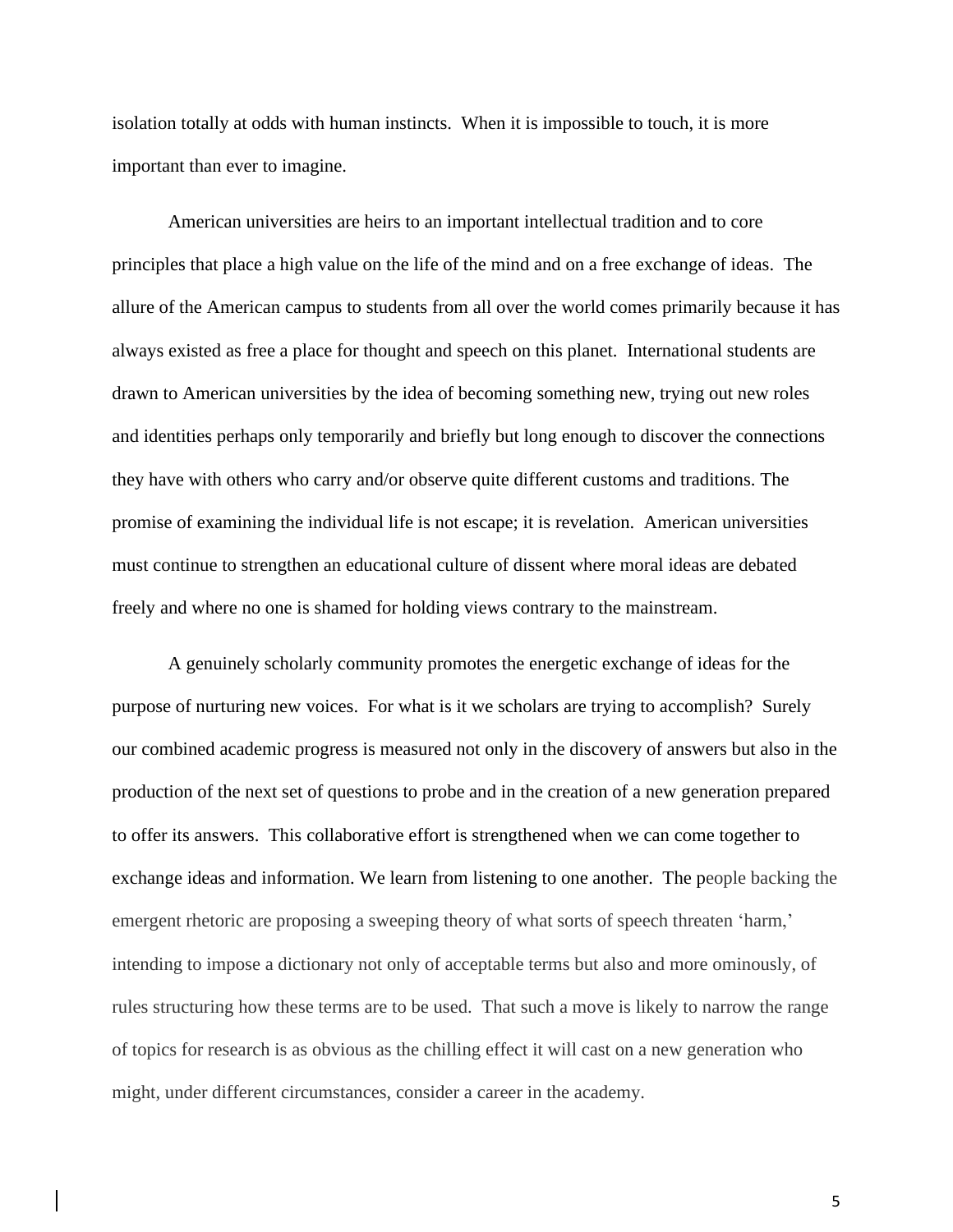isolation totally at odds with human instincts. When it is impossible to touch, it is more important than ever to imagine.

American universities are heirs to an important intellectual tradition and to core principles that place a high value on the life of the mind and on a free exchange of ideas. The allure of the American campus to students from all over the world comes primarily because it has always existed as free a place for thought and speech on this planet. International students are drawn to American universities by the idea of becoming something new, trying out new roles and identities perhaps only temporarily and briefly but long enough to discover the connections they have with others who carry and/or observe quite different customs and traditions. The promise of examining the individual life is not escape; it is revelation. American universities must continue to strengthen an educational culture of dissent where moral ideas are debated freely and where no one is shamed for holding views contrary to the mainstream.

A genuinely scholarly community promotes the energetic exchange of ideas for the purpose of nurturing new voices. For what is it we scholars are trying to accomplish? Surely our combined academic progress is measured not only in the discovery of answers but also in the production of the next set of questions to probe and in the creation of a new generation prepared to offer its answers. This collaborative effort is strengthened when we can come together to exchange ideas and information. We learn from listening to one another. The people backing the emergent rhetoric are proposing a sweeping theory of what sorts of speech threaten 'harm,' intending to impose a dictionary not only of acceptable terms but also and more ominously, of rules structuring how these terms are to be used. That such a move is likely to narrow the range of topics for research is as obvious as the chilling effect it will cast on a new generation who might, under different circumstances, consider a career in the academy.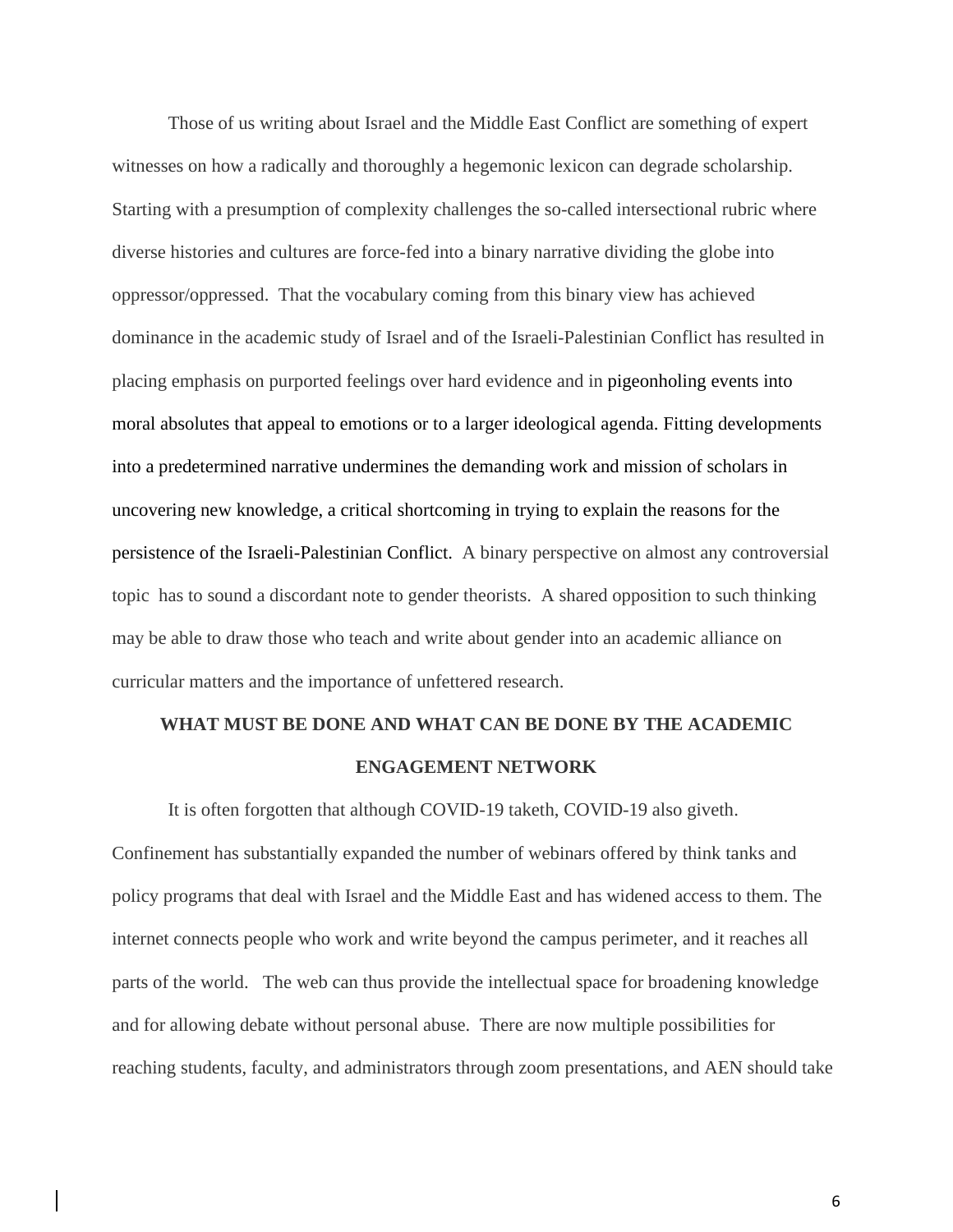Those of us writing about Israel and the Middle East Conflict are something of expert witnesses on how a radically and thoroughly a hegemonic lexicon can degrade scholarship. Starting with a presumption of complexity challenges the so-called intersectional rubric where diverse histories and cultures are force-fed into a binary narrative dividing the globe into oppressor/oppressed. That the vocabulary coming from this binary view has achieved dominance in the academic study of Israel and of the Israeli-Palestinian Conflict has resulted in placing emphasis on purported feelings over hard evidence and in pigeonholing events into moral absolutes that appeal to emotions or to a larger ideological agenda. Fitting developments into a predetermined narrative undermines the demanding work and mission of scholars in uncovering new knowledge, a critical shortcoming in trying to explain the reasons for the persistence of the Israeli-Palestinian Conflict. A binary perspective on almost any controversial topic has to sound a discordant note to gender theorists. A shared opposition to such thinking may be able to draw those who teach and write about gender into an academic alliance on curricular matters and the importance of unfettered research.

## **WHAT MUST BE DONE AND WHAT CAN BE DONE BY THE ACADEMIC ENGAGEMENT NETWORK**

It is often forgotten that although COVID-19 taketh, COVID-19 also giveth. Confinement has substantially expanded the number of webinars offered by think tanks and policy programs that deal with Israel and the Middle East and has widened access to them. The internet connects people who work and write beyond the campus perimeter, and it reaches all parts of the world. The web can thus provide the intellectual space for broadening knowledge and for allowing debate without personal abuse. There are now multiple possibilities for reaching students, faculty, and administrators through zoom presentations, and AEN should take